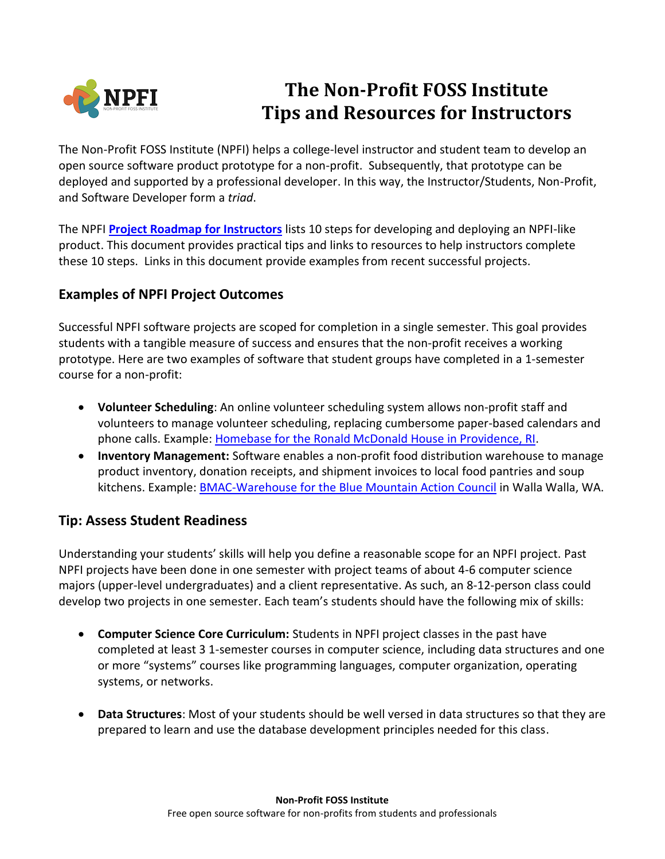

# **The Non-Profit FOSS Institute Tips and Resources for Instructors**

The Non-Profit FOSS Institute (NPFI) helps a college-level instructor and student team to develop an open source software product prototype for a non-profit. Subsequently, that prototype can be deployed and supported by a professional developer. In this way, the Instructor/Students, Non-Profit, and Software Developer form a *triad*.

The NPFI **[Project Roadmap for Instructors](https://npfi.org/wp-content/uploads/2016/07/NPFI-Workflow-Instructors.pdf)** lists 10 steps for developing and deploying an NPFI-like product. This document provides practical tips and links to resources to help instructors complete these 10 steps. Links in this document provide examples from recent successful projects.

## **Examples of NPFI Project Outcomes**

Successful NPFI software projects are scoped for completion in a single semester. This goal provides students with a tangible measure of success and ensures that the non-profit receives a working prototype. Here are two examples of software that student groups have completed in a 1-semester course for a non-profit:

- **Volunteer Scheduling**: An online volunteer scheduling system allows non-profit staff and volunteers to manage volunteer scheduling, replacing cumbersome paper-based calendars and phone calls. Example: Homebase for the [Ronald McDonald House](https://npfi.org/projects/the-rmhp-homebase-project/) in Providence, RI.
- **Inventory Management:** Software enables a non-profit food distribution warehouse to manage product inventory, donation receipts, and shipment invoices to local food pantries and soup kitchens. Example: BMAC-Warehouse [for the Blue Mountain Action Council](https://npfi.org/projects/the-bmac-warehouse-project/) in Walla Walla, WA.

### **Tip: Assess Student Readiness**

Understanding your students' skills will help you define a reasonable scope for an NPFI project. Past NPFI projects have been done in one semester with project teams of about 4-6 computer science majors (upper-level undergraduates) and a client representative. As such, an 8-12-person class could develop two projects in one semester. Each team's students should have the following mix of skills:

- **Computer Science Core Curriculum:** Students in NPFI project classes in the past have completed at least 3 1-semester courses in computer science, including data structures and one or more "systems" courses like programming languages, computer organization, operating systems, or networks.
- **Data Structures**: Most of your students should be well versed in data structures so that they are prepared to learn and use the database development principles needed for this class.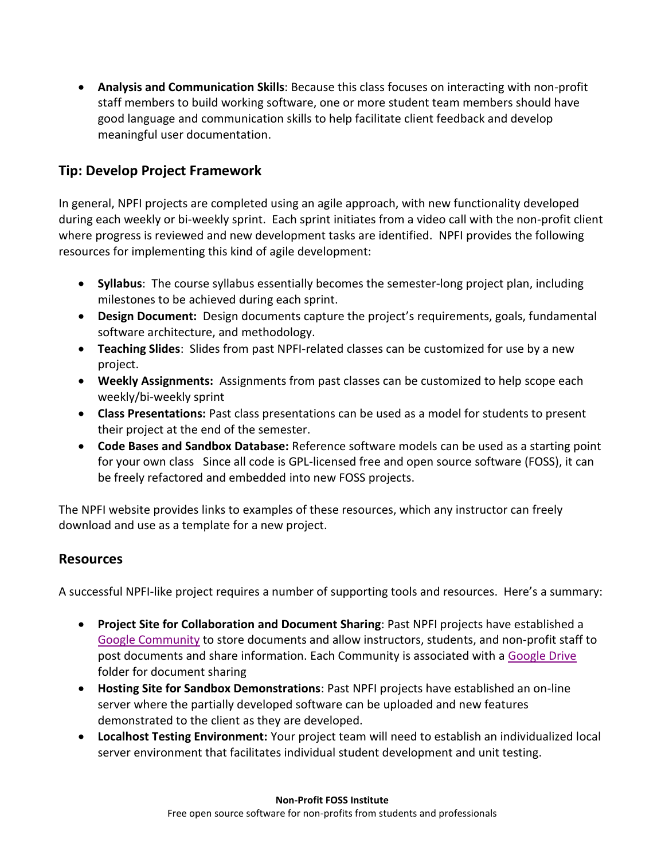**Analysis and Communication Skills**: Because this class focuses on interacting with non-profit staff members to build working software, one or more student team members should have good language and communication skills to help facilitate client feedback and develop meaningful user documentation.

#### **Tip: Develop Project Framework**

In general, NPFI projects are completed using an agile approach, with new functionality developed during each weekly or bi-weekly sprint. Each sprint initiates from a video call with the non-profit client where progress is reviewed and new development tasks are identified. NPFI provides the following resources for implementing this kind of agile development:

- **Syllabus**: The course syllabus essentially becomes the semester-long project plan, including milestones to be achieved during each sprint.
- **Design Document:** Design documents capture the project's requirements, goals, fundamental software architecture, and methodology.
- **Teaching Slides**: Slides from past NPFI-related classes can be customized for use by a new project.
- **Weekly Assignments:** Assignments from past classes can be customized to help scope each weekly/bi-weekly sprint
- **Class Presentations:** Past class presentations can be used as a model for students to present their project at the end of the semester.
- **Code Bases and Sandbox Database:** Reference software models can be used as a starting point for your own class Since all code is GPL-licensed free and open source software (FOSS), it can be freely refactored and embedded into new FOSS projects.

The NPFI website provides links to examples of these resources, which any instructor can freely download and use as a template for a new project.

#### **Resources**

A successful NPFI-like project requires a number of supporting tools and resources. Here's a summary:

- **Project Site for Collaboration and Document Sharing**: Past NPFI projects have established a [Google Community](http://www.google.com/+/learnmore/communities/) to store documents and allow instructors, students, and non-profit staff to post documents and share information. Each Community is associated with a [Google Drive](https://www.google.com/drive/using-drive/) folder for document sharing
- **Hosting Site for Sandbox Demonstrations**: Past NPFI projects have established an on-line server where the partially developed software can be uploaded and new features demonstrated to the client as they are developed.
- **Localhost Testing Environment:** Your project team will need to establish an individualized local server environment that facilitates individual student development and unit testing.